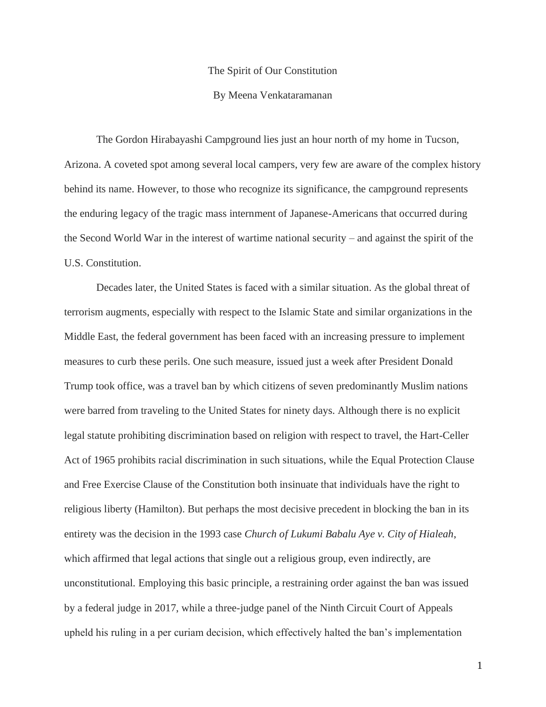## The Spirit of Our Constitution

## By Meena Venkataramanan

The Gordon Hirabayashi Campground lies just an hour north of my home in Tucson, Arizona. A coveted spot among several local campers, very few are aware of the complex history behind its name. However, to those who recognize its significance, the campground represents the enduring legacy of the tragic mass internment of Japanese-Americans that occurred during the Second World War in the interest of wartime national security – and against the spirit of the U.S. Constitution.

Decades later, the United States is faced with a similar situation. As the global threat of terrorism augments, especially with respect to the Islamic State and similar organizations in the Middle East, the federal government has been faced with an increasing pressure to implement measures to curb these perils. One such measure, issued just a week after President Donald Trump took office, was a travel ban by which citizens of seven predominantly Muslim nations were barred from traveling to the United States for ninety days. Although there is no explicit legal statute prohibiting discrimination based on religion with respect to travel, the Hart-Celler Act of 1965 prohibits racial discrimination in such situations, while the Equal Protection Clause and Free Exercise Clause of the Constitution both insinuate that individuals have the right to religious liberty (Hamilton). But perhaps the most decisive precedent in blocking the ban in its entirety was the decision in the 1993 case *Church of Lukumi Babalu Aye v. City of Hialeah*, which affirmed that legal actions that single out a religious group, even indirectly, are unconstitutional. Employing this basic principle, a restraining order against the ban was issued by a federal judge in 2017, while a three-judge panel of the Ninth Circuit Court of Appeals upheld his ruling in a per curiam decision, which effectively halted the ban's implementation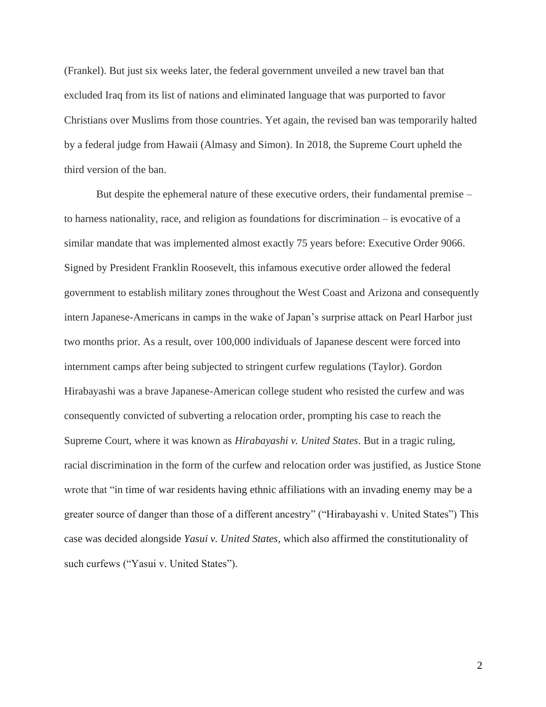(Frankel). But just six weeks later, the federal government unveiled a new travel ban that excluded Iraq from its list of nations and eliminated language that was purported to favor Christians over Muslims from those countries. Yet again, the revised ban was temporarily halted by a federal judge from Hawaii (Almasy and Simon). In 2018, the Supreme Court upheld the third version of the ban.

But despite the ephemeral nature of these executive orders, their fundamental premise – to harness nationality, race, and religion as foundations for discrimination – is evocative of a similar mandate that was implemented almost exactly 75 years before: Executive Order 9066. Signed by President Franklin Roosevelt, this infamous executive order allowed the federal government to establish military zones throughout the West Coast and Arizona and consequently intern Japanese-Americans in camps in the wake of Japan's surprise attack on Pearl Harbor just two months prior. As a result, over 100,000 individuals of Japanese descent were forced into internment camps after being subjected to stringent curfew regulations (Taylor). Gordon Hirabayashi was a brave Japanese-American college student who resisted the curfew and was consequently convicted of subverting a relocation order, prompting his case to reach the Supreme Court, where it was known as *Hirabayashi v. United States*. But in a tragic ruling, racial discrimination in the form of the curfew and relocation order was justified, as Justice Stone wrote that "in time of war residents having ethnic affiliations with an invading enemy may be a greater source of danger than those of a different ancestry" ("Hirabayashi v. United States") This case was decided alongside *Yasui v. United States*, which also affirmed the constitutionality of such curfews ("Yasui v. United States").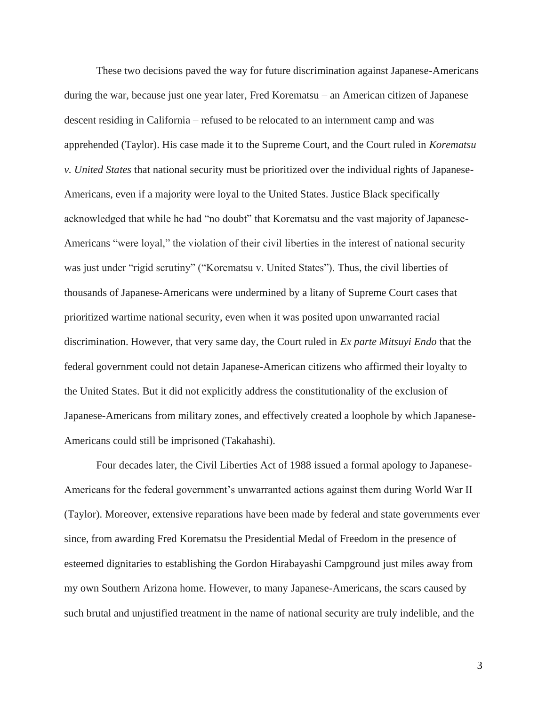These two decisions paved the way for future discrimination against Japanese-Americans during the war, because just one year later, Fred Korematsu – an American citizen of Japanese descent residing in California – refused to be relocated to an internment camp and was apprehended (Taylor). His case made it to the Supreme Court, and the Court ruled in *Korematsu v. United States* that national security must be prioritized over the individual rights of Japanese-Americans, even if a majority were loyal to the United States. Justice Black specifically acknowledged that while he had "no doubt" that Korematsu and the vast majority of Japanese-Americans "were loyal," the violation of their civil liberties in the interest of national security was just under "rigid scrutiny" ("Korematsu v. United States"). Thus, the civil liberties of thousands of Japanese-Americans were undermined by a litany of Supreme Court cases that prioritized wartime national security, even when it was posited upon unwarranted racial discrimination. However, that very same day, the Court ruled in *Ex parte Mitsuyi Endo* that the federal government could not detain Japanese-American citizens who affirmed their loyalty to the United States. But it did not explicitly address the constitutionality of the exclusion of Japanese-Americans from military zones, and effectively created a loophole by which Japanese-Americans could still be imprisoned (Takahashi).

Four decades later, the Civil Liberties Act of 1988 issued a formal apology to Japanese-Americans for the federal government's unwarranted actions against them during World War II (Taylor). Moreover, extensive reparations have been made by federal and state governments ever since, from awarding Fred Korematsu the Presidential Medal of Freedom in the presence of esteemed dignitaries to establishing the Gordon Hirabayashi Campground just miles away from my own Southern Arizona home. However, to many Japanese-Americans, the scars caused by such brutal and unjustified treatment in the name of national security are truly indelible, and the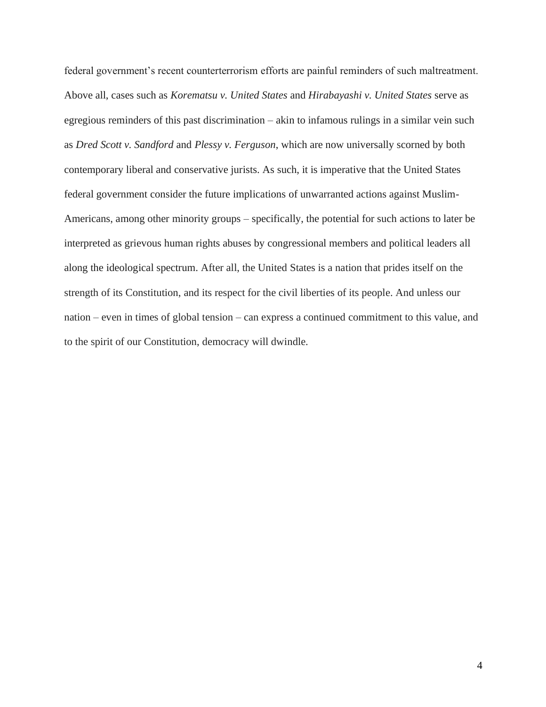federal government's recent counterterrorism efforts are painful reminders of such maltreatment. Above all, cases such as *Korematsu v. United States* and *Hirabayashi v. United States* serve as egregious reminders of this past discrimination – akin to infamous rulings in a similar vein such as *Dred Scott v. Sandford* and *Plessy v. Ferguson*, which are now universally scorned by both contemporary liberal and conservative jurists. As such, it is imperative that the United States federal government consider the future implications of unwarranted actions against Muslim-Americans, among other minority groups – specifically, the potential for such actions to later be interpreted as grievous human rights abuses by congressional members and political leaders all along the ideological spectrum. After all, the United States is a nation that prides itself on the strength of its Constitution, and its respect for the civil liberties of its people. And unless our nation – even in times of global tension – can express a continued commitment to this value, and to the spirit of our Constitution, democracy will dwindle.